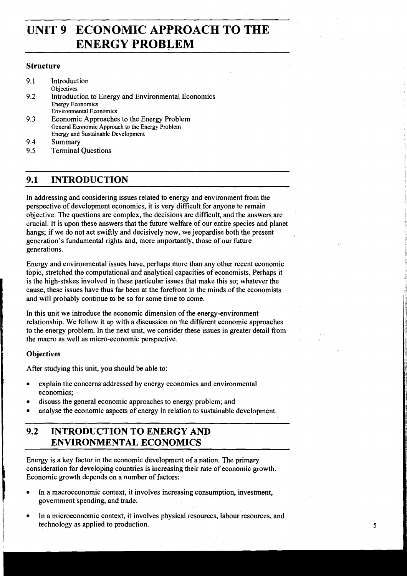# **UNIT 9 ECONOMIC APPROACH TO THE ENERGY PROBLEM**

#### **Structure**

9.1 Introduction **Objectives** 9.2 Introduction to Energy and Environmental Economics Energy Economics Environmental Economics **9.3** Economic Approaches to the Energy Problem General Economic Approach to the Energy Problem Energy and Sustainable Development 9.4 Summary 9.5 Terminal Questions

# **9.1 INTRODUCTION**

In addressing and considering issues related to energy and environment from the perspective of development economics, it is very difficult for anyone to remain objective. The questions are complex, the decisions are difficult, and the answers are crucial. It is upon these answers that the future welfare of our entire species and planet hangs; if we do not act swiftly and decisively now, we jeopardise both the present generation's fundamental rights and, more importantly, those of our future generations.

Energy and environmental issues have, perhaps more than any other recent economic topic, stretched the computational and analytical capacities of economists. Perhaps it is the high-stakes involved in these particular issues that make this so; whatever the cause, these issues have thus far been at the forefront in the minds of the economists and will probably continue to be so for some time to come.

In this unit we introduce the economic dimension of the energy-environment relationship. We follow it up with a discussion on the different economic approaches to the energy problem. In the next unit, we consider these issues in greater detail from the macro as well as micro-economic perspective.

### **Objectives**

After studying this unit, you should be able to:

- explain the concerns addressed by energy economics and environmental economics;
- discuss the general economic approaches to energy problem; and
- analyse the economic aspects of energy in relation to sustainable development.

# **9.2 INTRODUCTION TO ENERGY AND ENVIRONMENTAL ECONOMICS**

Energy is a key factor in the economic development of a nation. The primary consideration for developing countries is increasing their rate of economic growth. Economic growth depends on a number of factors:

- In a macroeconomic context, it involves increasing consumption, investment, government spending, and trade.
- In a microeconomic context, it involves physical resources, labour resources, and technology as applied to production.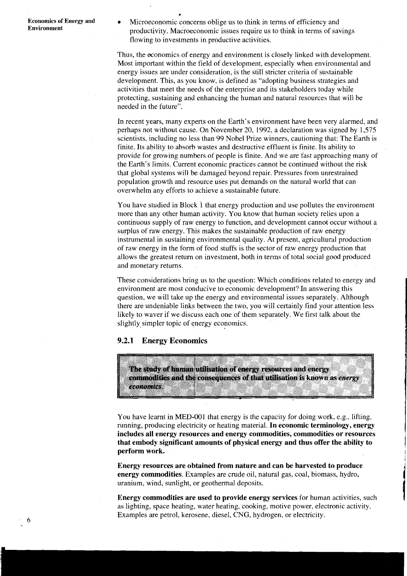**Economics of Energy and** <br>**Microeconomic concerns oblige us to think in terms of efficiency and productivity. Macroeconomic issues require us to think in terms of savings** flowing to investments in productive activities.

**a** 

Thus, the economics of energy and environment is closely linked with development. Most important within the field of development, especially when environmental and energy issues are under consideration, is the still stricter criteria of sustainable development. This, as you know, is defined as "adopting business strategies and activities that meet the needs of the enterprise and its stakeholders today while protecting, sustaining and enhancing the human and natural resources that will be needed in the future".

In recent years, many experts on the Earth's environment have been very alarmed, and perhaps not without cause. On November 20, 1992, a declaration was signed by 1,575 scientists, including no less than 99 Nobel Prize winners, cautioning that: The Earth is finite. Its ability to absorb wastes and destructive effluent is finite. Its ability to provide for growing numbers of people is finite. And we are fast approaching many of the Earth's limits. Current economic practices cannot be continued without the risk that global systems will be damaged beyond repair. Pressures from unrestrained population growth and resource uses put demands on the natural world that can overwhelm any efforts to achieve a sustainable future.

You have studied in Block 1 that energy production and use pollutes the environment more than any other human activity. You know that human society relies upon a continuous supply of raw energy to function, and development cannot occur without a surplus of raw energy. This makes the sustainable production of raw energy. instrumental in sustaining environmental quality. At present, agricultural production of raw energy in the form of food stuffs is the sector of raw energy production that allows the greatest return on investment, both in terms of total social good produced and monetary returns.

These considerations bring us to the question: Which conditions related to energy and environment are most conducive to economic development? In answering this question, we will take up the energy and environmental issues separately. Although there are undeniable links between the two, you will certainly find your attention less likely to waver if we discuss each one of them separately. We first talk about the slightly simpler topic of energy economics.

#### **9.2.1 Energy Economics**

The study of human utilisation of energy resources and energy commodities and the consequences of that utilisation is known as *energy* economics.

You have learnt in MED-001 that energy is the capacity for doing work, e.g., lifting, running, producing electricity or heating material. **In economic terminology, energy includes all energy resources and energy commodities, commodities or resources that embody significant amounts of physical energy and thus offer the ability to perform work.** 

**Energy resources are obtained from nature and can be harvested to produce energy commodities.** Examples are crude oil, natural gas, coal, biomass, hydro, uranium, wind, sunlight, or geothermal deposits.

**Energy commodities are used to provide energy services** for human activities, such as lighting, space heating, water heating, cooking, motive power, electronic activity. Examples are petrol, kerosene, diesel, CNG, hydrogen, or electricity.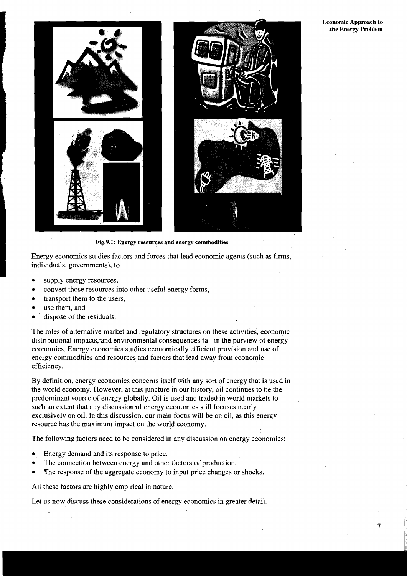**Economic Approach to the Energy Problem** 



Fig.9.1: Energy resources and energy commodities<br>
Energy economics studies factors and forces that lead economic ap<br>
individuals, governments), to<br>
• supply energy resources, Energy economics studies factors and forces that lead economic agents (such as firms, individuals, governments), to

- supply energy resources,
- convert those resources into other useful energy forms,
- transport them to the users,  $\bullet$
- use them, and
- ' dispose of the residuals.

The roles of alternative market and regulatory structures on these activities, economic distributional impacts, and environmental consequences fall in the purview of energy economics. Energy economics studies economically efficient provision and use of energy commodities and resources and factors that lead away from economic efficiency.

By definition, energy economics concerns itself with any sort of energy that is used in the world economy. However, at this juncture in our history, oil continues to be the predominant source of energy globally. Oil is used and traded in world markets to such an extent that any discussion of energy economics still focuses nearly exclusively on oil. In this discussion, our main focus will be on oil, as this energy resource has the maximum impact on the world economy.

The following factors need to be considered in any discussion on energy economics:

- Energy demand and its response to price.
- The connection between energy and other factors of production.
- The response of the aggregate economy to input price changes or shocks.  $\bullet$

All these factors are highly empirical in nature.

Let us now discuss these considerations of energy economics in greater detail.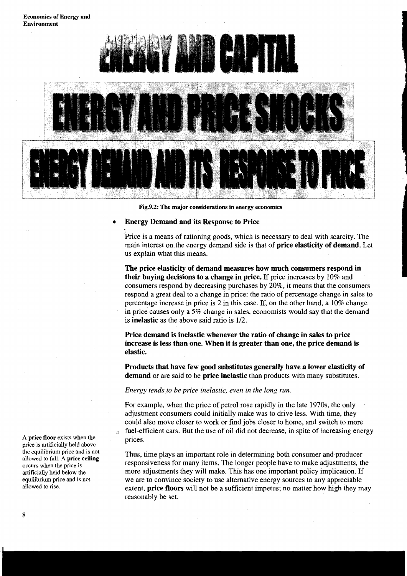**Economics of Energy and Environment** 



**Fig.9.2: The major considerations in energy economics** 

#### **Energy Demand and its Response to Price**

Price is a means of rationing goods, which is necessary to deal with scarcity. The main interest on the energy demand side is that of **price elasticity of demand.** Let us explain what this means.

**The price elasticity of demand measures how much consumers respond in their buying decisions to a change in price.** If price increases by 10% and consumers respond by decreasing purchases by 20%, it means that the consumers respond a great deal to a change in price: the ratio of percentage change in sales to percentage increase in price is 2 in this case. If, on the other hand, a 10% change in price causes only a 5% change in sales, economists would say that the demand is **inelastic** as the above said ratio is  $1/2$ .

**Price demand is inelastic whenever the ratio of change in sales to price increase is less than one. When it is greater than one, the price demand is elastic.** 

**Products that have few good substitutes generally have a lower elasticity of demand** or are said to be **price inelastic** than products with many substitutes.

*Energy tends to be price inelastic, even in the long run.* 

For example, when the price of petrol rose rapidly in the late 1970s, the only adjustment consumers could initially make was to drive less. With time, they could also move closer to work or find jobs closer to home, and switch to more  $\Omega$  fuel-efficient cars. But the use of oil did not decrease, in spite of increasing energy prices.

Thus, time plays an important role in determining both consumer and producer responsiveness for many items. The longer people have to make adjustments, the more adjustments they will make. This has one important policy implication. If we are to convince society to use alternative energy sources to any appreciable extent, **price floors** will not be a sufficient impetus; no matter how high they may reasonably be set.

**A price floor** exists when the price is artificially held above the equilibrium price and is not allowed to fall. A **price ceiling**  occurs when the price is artificially held below the equilibrium price and is not allowed to rise.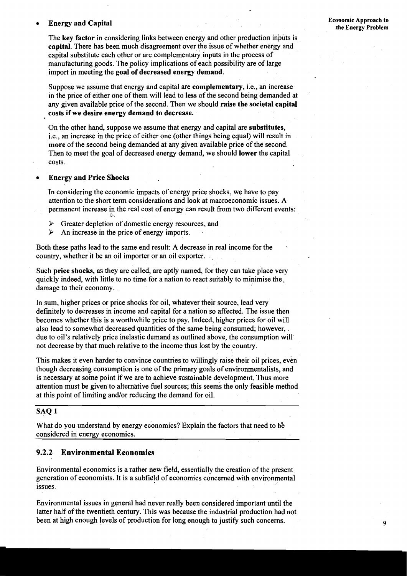# **Energy and Capital Exercise 2.1 The Economic Approach to Economic Approach to**

Suppose we assume that energy and capital are complementary, i.e., an increase in the price of either one of them will lead to less of the second being demanded at any given available price of the second. Then we should raise the societal capital costs if we desire energy demand to decrease.

On the other hand, suppose we assume that energy and capital are substitutes, i.e., an increase in the price of either one (other things being equal) will result in more of the second being demanded at any given available price of the second. Then to meet the goal of decreased energy demand, we should lower the capital costs.

#### Energy and Price Shocks

In considering the economic impacts of energy price shocks, we have to pay attention to the short term considerations and look at macroeconomic issues. A permanent increase in the real cost of energy can result from two different events: **<sup>b</sup>**

- > Greater depletion of domestic energy resources, and
- $\triangleright$  An increase in the price of energy imports.

Both these paths lead to the same end result: A decrease in real income for the country, whether it be an oil importer or an oil exporter.

Such price shocks, as they are called, are aptly named, for they can take place very quickly indeed, with little to no time for a nation to react suitably to minimise the, damage to their economy.

In sum, higher prices or price shocks for oil, whatever their source, lead very definitely to decreases in income and capital for a nation so affected. The issue then becomes whether this is a worthwhile price to pay. Indeed, higher prices for oil will also lead to somewhat decreased quantities of the same being consumed; however, . due to oil's relatively price inelastic demand as outlined above, the consumption will not decrease by that much relative to the income thus lost by the country.

This makes it even harder to convince countries to willingly raise their oil prices, even though decreasing consumption is one of the primary goals of environmentalists, and is necessary at some point if we are to achieve sustainable development. Thus more attention must be given to alternative fuel sources; this seems the only feasible method at this point of limiting and/or reducing the demand for oil.

#### **SAQ 1**

What do you understand by energy economics? Explain the factors that need to be considered in energy economics.

#### **9.2.2 Environmental Economics**

Environmental economics is a rather new field, essentially the creation of the present generation of economists. It is a subfield of economics concerned with environmental issues.

Environmental issues in general had never really been considered important until the latter half of the twentieth century. This was because the industrial production had not been at high enough levels of production for long enough to justify such concerns.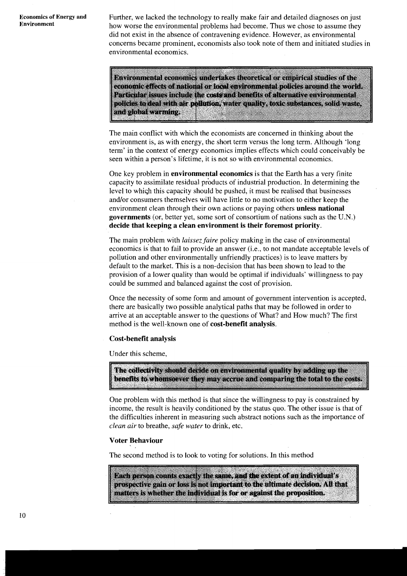**Economics of Energy and** Further, we lacked the technology to really make fair and detailed diagnoses on just<br>**Environment** bow worse the environmental problems had become. Thus we chose to assume they how worse the environmental problems had become. Thus we chose to assume they did not exist in the absence of contravening evidence. However, as environmental concerns became prominent, economists also took note of them and initiated studies in environmental economics.

> Environmental economics undertakes theoretical or empirical studies of the economic effects of national or local environmental policies around the world. Particular issues include the costs and benefits of alternative environmental policies to deal with air pollution, water quality, toxic substances, solid waste, and global warming.

The main conflict with which the economists are concerned in thinking about the environment is, as with energy, the short term versus the long term. Although 'long term' in the context of energy economics implies effects which could conceivably be seen within a person's lifetime, it is not so with environmental economics.

One key problem in **environmental economics** is that the Earth has a very finite capacity to assimilate residual pioducts of industrial production. In determining the level to whiqh this capacity should be pushed, it must be realised that businesses and/or consumers themselves will have little to no motivation to either keep the environment clean through their own actions or paying others **unless national governments** (or, better yet, some sort of consortium of nations such as the U.N.) **decide that keeping a clean environment is their foremost priority.** 

The main problem with *laissez faire* policy making in the case of environmental economics is'that to fail to provide an answer (i.e., to not mandate acceptable levels of pollution and other environmentally unfriendly practices) is to leave matters by default to the market. This is a non-decision that has been shown to lead to the provision of a lower quality than would be optimal if individuals' willingness to pay could be summed and balanced againsr the cost of provision.

Once the necessity of some form and amount of government intervention is accepted, there are basically two possible analytical paths that may be followed in order to arrive at an acceptable answer to the questions of What? and How much? The first method is the well-known one of **cost-benefit analysis.** 

#### **Cost-benefit analysis**

Under this scheme,

The collectivity should decide on environmental quality by adding up the benefits to whomsoever they may accrue and comparing the total to the costs.

One problem with this method is that since the willingness to pay is constrained by income, the result is heavily conditioned by the status quo. The other issue is that of the difficulties inherent in measuring such abstract notions such as the importance of *clean air* to breathe, *safe water* to drink, etc.

#### **Voter Behaviour**

The second method is to look to voting for solutions. In this method

Each person counts exactly the same, and the extent of an individual's prospective gain or loss is not important to the ultimate decision. All that matters is whether the individual is for or against the proposition.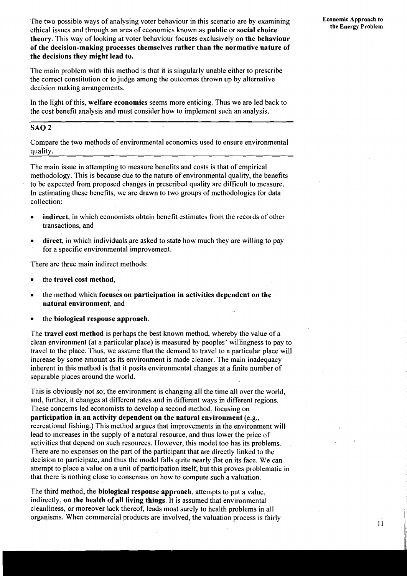The two possible ways of analysing voter behaviour in this scenario are by examining ethical issues and through an area of economics known as **public** or **social choice theory.** This way of looking at voter behaviour focuses exclusively on **the behaviour of the decision-making processes themselves rather than the normative nature of the decisions they might lead to.** 

The main problem with this method is that it is singularly unable either to prescribe the correct constitution or to judge among the outcomes thrown up by alternative decision making arrangements.

In the light of this, **welfare economics** seems more enticing. Thus we are led back to the cost benefit analysis and must consider how to implement such an analysis.

#### **SAQ 2**

Compare the two methods of environmental economics used to ensure environmental quality;

The main issue in attempting to measure benefits and costs is that of empirical methodology. This is because due to the nature of environmental quality, the benefits to be expected from proposed changes in prescribed quality are difficult to measure. In estimating these benefits, we are drawn to two groups of methodologies for data collection:

- **indirect,** in which economists obtain benefit estimates from the records of other transactions, and
- direct, in which individuals are asked to state how much they are willing to pay for a specific environmental improvement.

There are three main indirect methods:

- the **travel cost method,**
- the method which **focuses on participation in activities dependent on the natural environment,** and
- the **biological response approach.**

The **travel cost method** is perhaps the best known method, whereby the value of a clean environment (at a particular place) is measured by peoples' willingness to pay to travel to the place. Thus, we assume that the demand to travel to a particular place will increase by some amount as its environment is made cleaner. The main inadequacy inherent in this method is that it posits environmental changes at a finite number of separable places around the world.

This is obviously not so; the environment is changing all the time all over the world, and, further, it changes at different rates and in different ways in different regions. These concerns led economists to develop a second method, focusing on **participation in an activity dependent on the natural environment** (e.g., recreational fishing.) This method argues that improvements in the environment will lead to increases in the supply of a natural resource, and thus lower the price of activities that depend on such resources. However, this model too has its problems. There are no expenses on the part of the participant that are directly linked to the decision to participate, and thus the model falls quite nearly flat on its face. We can attempt to place a value on a unit of participation itself, but this proves problematic in that there is nothing close to consensus on how to compute such a valuation.

The third method, the **biological response approach,** attempts to put a value, indirectly, **on the health of all living things.** It is assumed that environmental cleanliness, or moreover lack thereof, leads most surely to health problems in all organisms. When commercial products are involved, the valuation process is fairly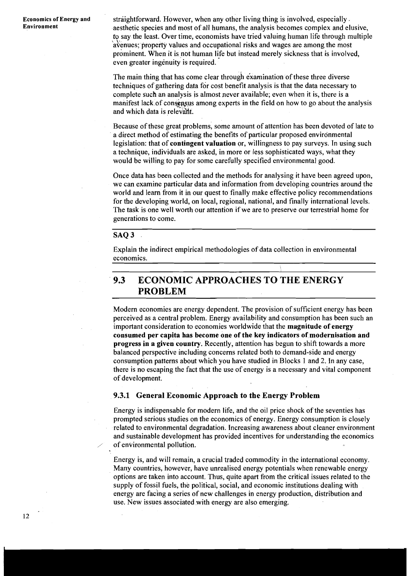**Economics of Energy and Straightforward. However, when any other living thing is involved, especially.**<br>**Environment** and algorithmic species and most of all humans, the analysis becomes complex and all aesthetic species and most of all humans, the analysis becomes complex and elusive, to say the least. Over time, economists have tried valuing human life through multiple \' avenues; property values and occupational risks and wages are among the most prominent. When it is not human life but instead merely sickness that is involved, even greater ingenuity is required.

> The main thing that has come clear through examination of these three diverse techniques of gathering data for cost benefit analysis is that the data necessary to complete such an analysis is almost never available; even when it is, there is a manifest lack of consensus among experts in the field on how to go about the analysis and which data is relevant.

> Because of these great problems, some amount of attention has been devoted of late to a direct method of estimating the benefits of particular proposed environmental legislation: that of **contingent valuation** or, willingness to pay surveys. In using such a technique, individuals are asked, in more or less sophisticated ways, what they would be willing to pay for some carefully specified environmental good.

> Once data has been collected and the methods for analysing it have been agreed upon, we can examine particular data and information from developing countries around the world and learn from it in our quest to finally make effective policy recommendations for the developing world, on local, regional, national, and finally international levels. The task is one well worth our attention if we are to preserve our terrestrial home for generations to come.

#### **SAQ 3**

Explain the indirect empirical methodologies of data collection in environmental economics.

# **9.3 ECONOMIC APPROACHES TO THE ENERGY PROBLEM**

Modern economies are energy dependent. The provision of sufficient energy has been perceived as a central problem. Energy availability and consumption has been such an important consideration to economies worldwide that the **magnitude of energy consumed per capita has become one of the key indicators of modernisation and progress in a given country.** Recently, attention has begun to shift towards a more balanced perspective including concerns related both to demand-side and energy consumption patterns about which you have studied in Blocks 1 and 2. In any case, there is no escaping the fact that the use of energy is a necessary and vital component of development.

#### **9.3.1 General Economic Approach to the Energy Problem**

Energy is indispensable for modern life, and the oil price shock of the seventies has prompted serious studies on the economics of energy. Energy consumption is closely related to environmental degradation. Increasing awareness about cleaner environment and sustainable development has provided incentives for understanding the economics of environmental pollution.

Energy is, and will remain, a crucial traded commodity in the international economy. Many countries, however, have unrealised energy potentials when renewable energy options are taken into account. Thus, quite apart from the critical issues related to the supply of fossil fuels, the political, social, and economic institutions dealing with energy are facing a series of new challenges in energy production, distribution and use. New issues associated with energy are also emerging.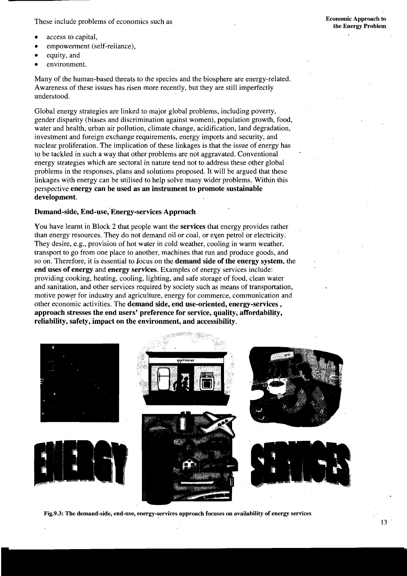These include problems of economics such as

- access to capital,
- empowerment (self-reliance),
- equity, and
- environment.

Many of the human-based threats to the species and the biosphere are energy-related. Awareness of these issues has risen more recently, but they are still imperfectly understood.

Global energy strategies are linked to major global problems, including poverty, gender disparity (biases and discrimination against women), population growth, food, water and health, urban air pollution, climate change, acidification, land degradation, investment and foreign exchange requirements, energy imports and security, and nuclear proliferation. The implication of these linkages is that the issue of energy has to be tackled in such a way that other problems are not aggravated. Conventional energy strategies which are sectoral in nature tend not to address these other global problems in the responses, plans and solutions proposed. It will be argued that these linkages with energy can be utilised to help solve many wider problems. Within this perspective **energy can be used as an instrument to promote sustainable development.** 

#### **Demand-side, End-use,'Energy-services Approach**

You have learnt in Block 2 that people want the **services** that energy provides rather than energy resources. They do not demand oil or coal, or eyen petrol or electricity. They desire, e.g., provision of hot water in cold weather, cooling in warm weather, transport to go from one place to another, machines that run and produce goods, and so on. Therefore, it is essential to focus on the **demand side of the energy system,** the **end uses of energy** and **energy services.** Examples of energy services include: providing cooking, heating, cooling, lighting, and safe storage of food, clean water and sanitation, and other services required by society such as means of transportation, motive power for industry and agriculture, energy for commerce, communication and other economic activities. The **demand side, end use-oriented, energy-services** . **approach stresses the end users' preference for service, quality, affordability, reliability, safety, impact on the environment, and accessibility.** 



**Fig.9.3: The demand-side, end-use, energy-services approach focuses on availability of energy services**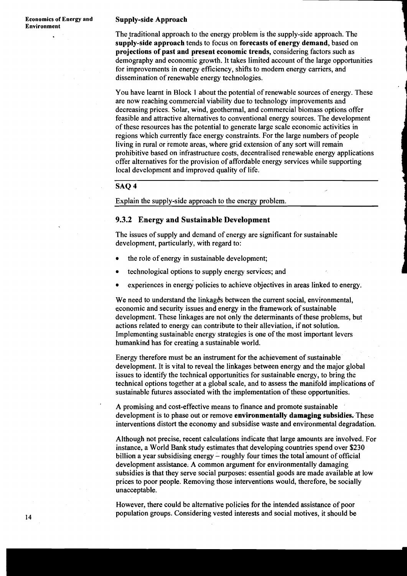#### **Economics of Energy and Supply-side Approach**

The traditional approach to the energy problem is the supply-side approach. The supply-side approach tends to focus on forecasts of energy demand, based on projections of past and present economic trends, considering factors such as **<sup>4</sup>** demography and economic growth. It takes limited account of the large opportunities **<sup>1</sup>** for improvements in energy efficiency, shifts to modem energy carriers, and dissemination of renewable energy technologies.

I **4** 

You have learnt in Block 1 about the potential of renewable sources of energy. These are now reaching commercial viability due to technology improvements and decreasing prices. Solar, wind, geothermal, and commercial biomass options offer feasible and attractive alternatives to conventional energy sources. The development of these resources has the potential to generate large scale economic activities in regions which currently face energy constraints. For the large numbers of people living in rural or remote areas, where grid extension of any sort will remain prohibitive based on infrastructure costs, decentralised renewable energy applications offer alternatives for the provision of affordable energy services while supporting local development and improved quality of life.

#### SAQ 4

Explain the supply-side approach to the energy problem.

#### 9.3.2 Energy and Sustainable Development **<sup>1</sup>**

The issues of supply and demand of energy are significant for sustainable development, particularly, with regard to:

- the role of energy in sustainable development;
- technological options to supply energy services; and
- experiences in energy policies to achieve objectives in areas linked to energy.

We need to understand the linkage's between the current social, environmental, aconomic and security issues and energy in the framework of sustainable development. These linkages are not only the determinants of these problems, but actions related to energy can contribute to their alleviation, if not solution. Implementing sustainable energy strategies is one of the most important levers humankind has for creating a sustainable world.

Energy therefore must be an instrument for the achievement of sustainable development. It is vital to reveal the linkages between energy and the major global issues to identify the technical opportunities for sustainable energy, to bring the technical options together at a global scale, and to assess the manifold implications of sustainable futures associated with the implementation of these opportunities.

' A promising and cost-effective means to finance and promote sustainable development is to phase out or remove environmentally damaging subsidies. These interventions distort the economy and subsidise waste and environmental degradation.

Although not precise, recent calculations indicate that large amounts are involved. For instance, a World Bank study estimates that developing countries spend over \$230 billion a year subsidising energy - roughly four times the total amount of official development assistance. A common argument for environmentally damaging subsidies is that they serve social purposes: essential goods are made available at low prices to poor people. Removing those interventions would, therefore, be socially unacceptable.

However, there could be alternative policies for the intended assistance of poor population groups. Considering vested interests and social motives, it should be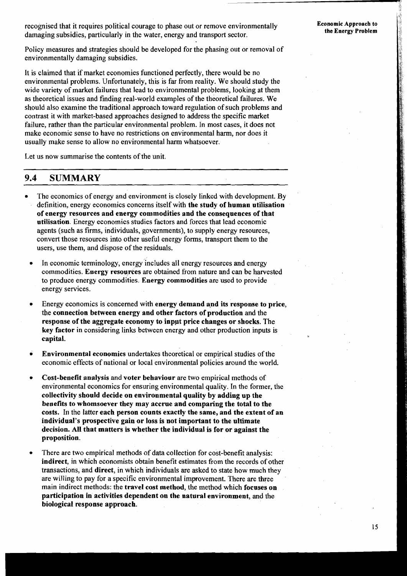recognised that it requires political courage to phase out or remove environmentally damaging subsidies, particularly in the water, energy and transport sector.

Policy measures and strategies should be developed for the phasing out or removal of environmentally damaging subsidies.

It is claimed that if market economies functioned perfectly, there would be no environmental problems. Unfortunately, this is far from reality. We should study the wide variety of market failures that lead to environmental problems, looking at them as theoretical issues and finding real-world examples of the theoretical failures. We should also examine the traditional approach toward regulation of such problems and contrast it with market-based approaches designed to address the specific market failure, rather than the particular environmental problem. In most cases, it does not make economic sense to have no restrictions on environmental harm, nor does it usually make sense to allow no environmental harm whatsoever.

Let us now summarise the contents of the unit.

### **9.4 SUMMARY**

- The economics of energy and environment is closely linked with development. By definition, energy economics concerns itself with the study of human utilisation of energy resources and energy commodities and the consequences of that utilisation. Energy economics studies factors and forces that lead economic agents (such as firms, individuals, governments), to supply energy resources, convert those resources into other useful energy forms, transport them to the users, use them, and dispose of the residuals.
- In economic terminology, energy 'includes all energy resources and energy commodities. Energy resources are obtained from nature and can be harvested to produce energy commodities. Energy commodities are used to provide energy services.
- Energy economics is concerned with energy demand and its response to price,  $\bullet$ tbe connection between energy and other factors of production and the response of the aggregate economy to inppt price changes or shocks. The key factor in considering links between energy and other production inputs is capital.
- é Environmental economics undertakes theoretical or empirical studies of the economic effects of national or local environmental policies around the world.
- Cost-benefit analysis and voter behaviour are two empirical methods of  $\bullet$ environmental economics for ensuring environmental quality. In the former, the collectivity should decide on environmental quality by adding up the benefits to whomsoever they may accrue and comparing the total to the costs. In the latter each person counts exactly the same, and the extent of an individual's prospective gain or loss is not important to the ultimate decision. All that matters is whether the individual is for or against the proposition.
- There are two empirical methods of data collection for cost-benefit analysis: indirect, in which economists obtain benefit estimates from the records of other transactions, and direct, in which individuals are asked to state how much they are willing to pay for a specific environmental improvement. There are three main indirect methods: the travel cost method, the method which focuses on participation in activities dependent on the natural environment, and the biological response approach.